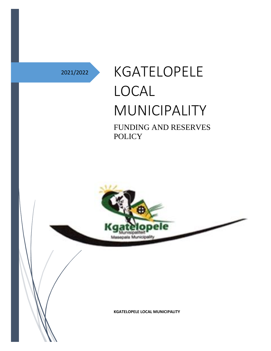# 2021/2022 KGATELOPELE LOCAL MUNICIPALITY FUNDING AND RESERVES **POLICY**



**KGATELOPELE LOCAL MUNICIPALITY**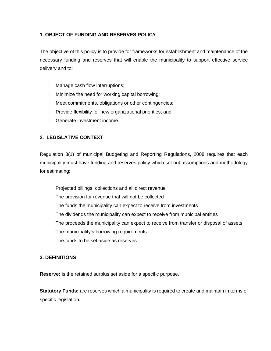## **1. OBJECT OF FUNDING AND RESERVES POLICY**

The objective of this policy is to provide for frameworks for establishment and maintenance of the necessary funding and reserves that will enable the municipality to support effective service delivery and to:

- Manage cash flow interruptions;
- Minimize the need for working capital borrowing;
- Meet commitments, obligations or other contingencies;
- Provide flexibility for new organizational priorities; and
- Generate investment income.

## **2. LEGISLATIVE CONTEXT**

Regulation 8(1) of municipal Budgeting and Reporting Regulations, 2008 requires that each municipality must have funding and reserves policy which set out assumptions and methodology for estimating:

- Projected billings, collections and all direct revenue
- The provision for revenue that will not be collected
- The funds the municipality can expect to receive from investments
- The dividends the municipality can expect to receive from municipal entities
- The proceeds the municipality can expect to receive from transfer or disposal of assets
- The municipality's borrowing requirements
- The funds to be set aside as reserves

### **3. DEFINITIONS**

**Reserve:** is the retained surplus set aside for a specific purpose.

**Statutory Funds:** are reserves which a municipality is required to create and maintain in terms of specific legislation.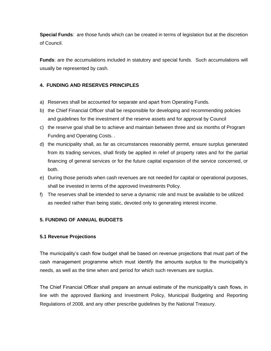**Special Funds**: are those funds which can be created in terms of legislation but at the discretion of Council.

**Funds**: are the accumulations included in statutory and special funds. Such accumulations will usually be represented by cash.

## **4. FUNDING AND RESERVES PRINCIPLES**

- a) Reserves shall be accounted for separate and apart from Operating Funds.
- b) the Chief Financial Officer shall be responsible for developing and recommending policies and guidelines for the investment of the reserve assets and for approval by Council
- c) the reserve goal shall be to achieve and maintain between three and six months of Program Funding and Operating Costs. .
- d) the municipality shall, as far as circumstances reasonably permit, ensure surplus generated from its trading services, shall firstly be applied in relief of property rates and for the partial financing of general services or for the future capital expansion of the service concerned, or both.
- e) During those periods when cash revenues are not needed for capital or operational purposes, shall be invested in terms of the approved Investments Policy.
- f) The reserves shall be intended to serve a dynamic role and must be available to be utilized as needed rather than being static, devoted only to generating interest income.

### **5. FUNDING OF ANNUAL BUDGETS**

### **5.1 Revenue Projections**

The municipality's cash flow budget shall be based on revenue projections that must part of the cash management programme which must identify the amounts surplus to the municipality's needs, as well as the time when and period for which such revenues are surplus.

The Chief Financial Officer shall prepare an annual estimate of the municipality's cash flows, in line with the approved Banking and Investment Policy, Municipal Budgeting and Reporting Regulations of 2008, and any other prescribe guidelines by the National Treasury.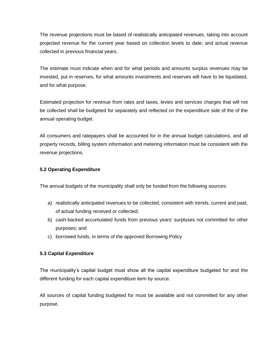The revenue projections must be based of realistically anticipated revenues, taking into account projected revenue for the current year based on collection levels to date; and actual revenue collected in previous financial years.

The estimate must indicate when and for what periods and amounts surplus revenues may be invested, put in reserves, for what amounts investments and reserves will have to be liquidated, and for what purpose.

Estimated projection for revenue from rates and taxes, levies and services charges that will not be collected shall be budgeted for separately and reflected on the expenditure side of the of the annual operating budget.

All consumers and ratepayers shall be accounted for in the annual budget calculations, and all property records, billing system information and metering information must be consistent with the revenue projections.

## **5.2 Operating Expenditure**

The annual budgets of the municipality shall only be funded from the following sources:

- a) realistically anticipated revenues to be collected, consistent with trends, current and past, of actual funding received or collected;
- b) cash-backed accumulated funds from previous years' surpluses not committed for other purposes; and
- c) borrowed funds, in terms of the approved Borrowing Policy

## **5.3 Capital Expenditure**

The municipality's capital budget must show all the capital expenditure budgeted for and the different funding for each capital expenditure item by source.

All sources of capital funding budgeted for must be available and not committed for any other purpose.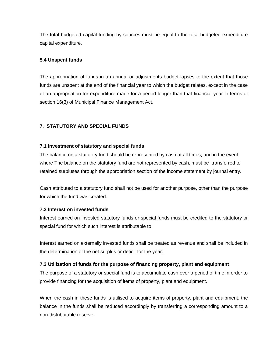The total budgeted capital funding by sources must be equal to the total budgeted expenditure capital expenditure.

## **5.4 Unspent funds**

The appropriation of funds in an annual or adjustments budget lapses to the extent that those funds are unspent at the end of the financial year to which the budget relates, except in the case of an appropriation for expenditure made for a period longer than that financial year in terms of section 16(3) of Municipal Finance Management Act.

## **7. STATUTORY AND SPECIAL FUNDS**

### **7.1 Investment of statutory and special funds**

The balance on a statutory fund should be represented by cash at all times, and in the event where The balance on the statutory fund are not represented by cash, must be transferred to retained surpluses through the appropriation section of the income statement by journal entry.

Cash attributed to a statutory fund shall not be used for another purpose, other than the purpose for which the fund was created.

### **7.2 Interest on invested funds**

Interest earned on invested statutory funds or special funds must be credited to the statutory or special fund for which such interest is attributable to.

Interest earned on externally invested funds shall be treated as revenue and shall be included in the determination of the net surplus or deficit for the year.

### **7.3 Utilization of funds for the purpose of financing property, plant and equipment**

The purpose of a statutory or special fund is to accumulate cash over a period of time in order to provide financing for the acquisition of items of property, plant and equipment.

When the cash in these funds is utilised to acquire items of property, plant and equipment, the balance in the funds shall be reduced accordingly by transferring a corresponding amount to a non-distributable reserve.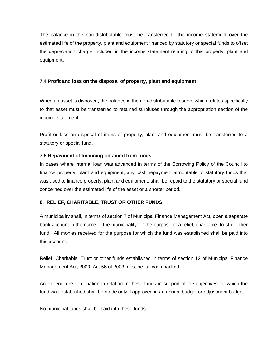The balance in the non-distributable must be transferred to the income statement over the estimated life of the property, plant and equipment financed by statutory or special funds to offset the depreciation charge included in the income statement relating to this property, plant and equipment.

## **7.4 Profit and loss on the disposal of property, plant and equipment**

When an asset is disposed, the balance in the non-distributable reserve which relates specifically to that asset must be transferred to retained surpluses through the appropriation section of the income statement.

Profit or loss on disposal of items of property, plant and equipment must be transferred to a statutory or special fund.

## **7.5 Repayment of financing obtained from funds**

In cases where internal loan was advanced in terms of the Borrowing Policy of the Council to finance property, plant and equipment, any cash repayment attributable to statutory funds that was used to finance property, plant and equipment, shall be repaid to the statutory or special fund concerned over the estimated life of the asset or a shorter period.

## **8. RELIEF, CHARITABLE, TRUST OR OTHER FUNDS**

A municipality shall, in terms of section 7 of Municipal Finance Management Act, open a separate bank account in the name of the municipality for the purpose of a relief, charitable, trust or other fund. All monies received for the purpose for which the fund was established shall be paid into this account.

Relief, Charitable, Trust or other funds established in terms of section 12 of Municipal Finance Management Act, 2003, Act 56 of 2003 must be full cash backed.

An expenditure or donation in relation to these funds in support of the objectives for which the fund was established shall be made only if approved in an annual budget or adjustment budget.

No municipal funds shall be paid into these funds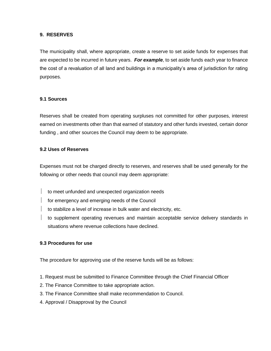#### **9. RESERVES**

The municipality shall, where appropriate, create a reserve to set aside funds for expenses that are expected to be incurred in future years. *For example*, to set aside funds each year to finance the cost of a revaluation of all land and buildings in a municipality's area of jurisdiction for rating purposes.

### **9.1 Sources**

Reserves shall be created from operating surpluses not committed for other purposes, interest earned on investments other than that earned of statutory and other funds invested, certain donor funding , and other sources the Council may deem to be appropriate.

#### **9.2 Uses of Reserves**

Expenses must not be charged directly to reserves, and reserves shall be used generally for the following or other needs that council may deem appropriate:

- to meet unfunded and unexpected organization needs
- for emergency and emerging needs of the Council
- to stabilize a level of increase in bulk water and electricity, etc.
- to supplement operating revenues and maintain acceptable service delivery standards in situations where revenue collections have declined.

#### **9.3 Procedures for use**

The procedure for approving use of the reserve funds will be as follows:

- 1. Request must be submitted to Finance Committee through the Chief Financial Officer
- 2. The Finance Committee to take appropriate action.
- 3. The Finance Committee shall make recommendation to Council.
- 4. Approval / Disapproval by the Council